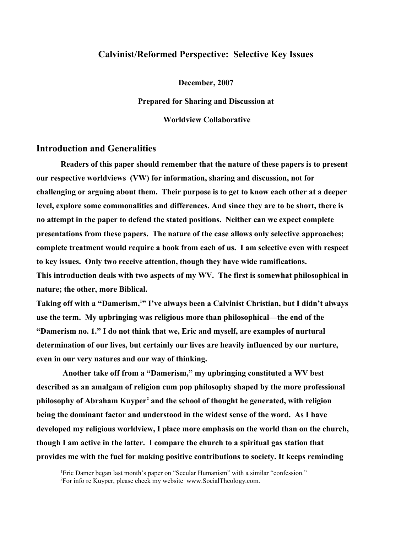## **Calvinist/Reformed Perspective: Selective Key Issues**

**December, 2007**

**Prepared for Sharing and Discussion at**

 **Worldview Collaborative**

# **Introduction and Generalities**

**Readers of this paper should remember that the nature of these papers is to present our respective worldviews (VW) for information, sharing and discussion, not for challenging or arguing about them. Their purpose is to get to know each other at a deeper level, explore some commonalities and differences. And since they are to be short, there is no attempt in the paper to defend the stated positions. Neither can we expect complete presentations from these papers. The nature of the case allows only selective approaches; complete treatment would require a book from each of us. I am selective even with respect to key issues. Only two receive attention, though they have wide ramifications. This introduction deals with two aspects of my WV. The first is somewhat philosophical in nature; the other, more Biblical.** 

**Taking off with a "Damerism,[1](#page-0-0) " I've always been a Calvinist Christian, but I didn't always use the term. My upbringing was religious more than philosophical—the end of the "Damerism no. 1." I do not think that we, Eric and myself, are examples of nurtural determination of our lives, but certainly our lives are heavily influenced by our nurture, even in our very natures and our way of thinking.** 

 **Another take off from a "Damerism," my upbringing constituted a WV best described as an amalgam of religion cum pop philosophy shaped by the more professional philosophy of Abraham Kuyper[2](#page-0-1) and the school of thought he generated, with religion being the dominant factor and understood in the widest sense of the word. As I have developed my religious worldview, I place more emphasis on the world than on the church, though I am active in the latter. I compare the church to a spiritual gas station that provides me with the fuel for making positive contributions to society. It keeps reminding** 

<span id="page-0-1"></span><span id="page-0-0"></span><sup>&</sup>lt;sup>1</sup>Eric Damer began last month's paper on "Secular Humanism" with a similar "confession." 2For info re Kuyper, please check my website www.SocialTheology.com.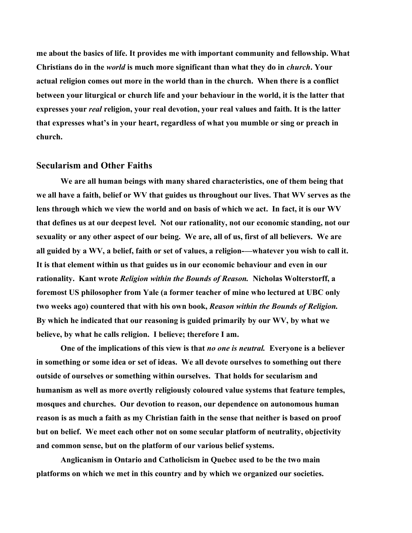**me about the basics of life. It provides me with important community and fellowship. What Christians do in the** *world* **is much more significant than what they do in** *church***. Your actual religion comes out more in the world than in the church. When there is a conflict between your liturgical or church life and your behaviour in the world, it is the latter that expresses your** *real* **religion, your real devotion, your real values and faith. It is the latter that expresses what's in your heart, regardless of what you mumble or sing or preach in church.** 

### **Secularism and Other Faiths**

**We are all human beings with many shared characteristics, one of them being that we all have a faith, belief or WV that guides us throughout our lives. That WV serves as the lens through which we view the world and on basis of which we act. In fact, it is our WV that defines us at our deepest level. Not our rationality, not our economic standing, not our sexuality or any other aspect of our being. We are, all of us, first of all believers. We are all guided by a WV, a belief, faith or set of values, a religion-—whatever you wish to call it. It is that element within us that guides us in our economic behaviour and even in our rationality. Kant wrote** *Religion within the Bounds of Reason.* **Nicholas Wolterstorff, a foremost US philosopher from Yale (a former teacher of mine who lectured at UBC only two weeks ago) countered that with his own book,** *Reason within the Bounds of Religion.* **By which he indicated that our reasoning is guided primarily by our WV, by what we believe, by what he calls religion. I believe; therefore I am.** 

**One of the implications of this view is that** *no one is neutral.* **Everyone is a believer in something or some idea or set of ideas. We all devote ourselves to something out there outside of ourselves or something within ourselves. That holds for secularism and humanism as well as more overtly religiously coloured value systems that feature temples, mosques and churches. Our devotion to reason, our dependence on autonomous human reason is as much a faith as my Christian faith in the sense that neither is based on proof but on belief. We meet each other not on some secular platform of neutrality, objectivity and common sense, but on the platform of our various belief systems.** 

**Anglicanism in Ontario and Catholicism in Quebec used to be the two main platforms on which we met in this country and by which we organized our societies.**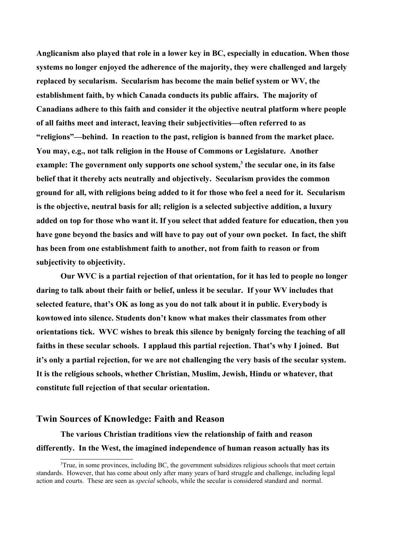**Anglicanism also played that role in a lower key in BC, especially in education. When those systems no longer enjoyed the adherence of the majority, they were challenged and largely replaced by secularism. Secularism has become the main belief system or WV, the establishment faith, by which Canada conducts its public affairs. The majority of Canadians adhere to this faith and consider it the objective neutral platform where people of all faiths meet and interact, leaving their subjectivities—often referred to as "religions"—behind. In reaction to the past, religion is banned from the market place. You may, e.g., not talk religion in the House of Commons or Legislature. Another example: The government only supports one school system,[3](#page-2-0) the secular one, in its false belief that it thereby acts neutrally and objectively. Secularism provides the common ground for all, with religions being added to it for those who feel a need for it. Secularism is the objective, neutral basis for all; religion is a selected subjective addition, a luxury added on top for those who want it. If you select that added feature for education, then you have gone beyond the basics and will have to pay out of your own pocket. In fact, the shift has been from one establishment faith to another, not from faith to reason or from subjectivity to objectivity.** 

**Our WVC is a partial rejection of that orientation, for it has led to people no longer daring to talk about their faith or belief, unless it be secular. If your WV includes that selected feature, that's OK as long as you do not talk about it in public. Everybody is kowtowed into silence. Students don't know what makes their classmates from other orientations tick. WVC wishes to break this silence by benignly forcing the teaching of all faiths in these secular schools. I applaud this partial rejection. That's why I joined. But it's only a partial rejection, for we are not challenging the very basis of the secular system. It is the religious schools, whether Christian, Muslim, Jewish, Hindu or whatever, that constitute full rejection of that secular orientation.** 

## **Twin Sources of Knowledge: Faith and Reason**

**The various Christian traditions view the relationship of faith and reason differently. In the West, the imagined independence of human reason actually has its** 

<span id="page-2-0"></span> $3$ True, in some provinces, including BC, the government subsidizes religious schools that meet certain standards. However, that has come about only after many years of hard struggle and challenge, including legal action and courts. These are seen as *special* schools, while the secular is considered standard and normal.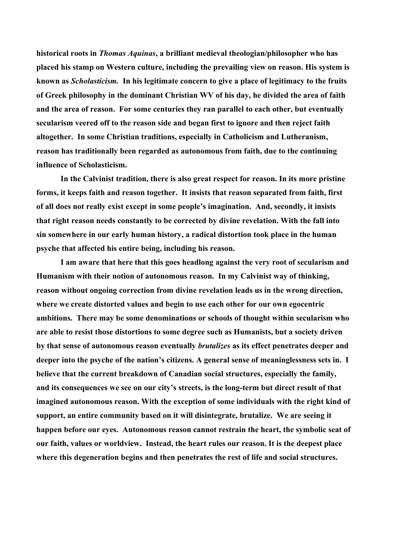**historical roots in** *Thomas Aquinas***, a brilliant medieval theologian/philosopher who has placed his stamp on Western culture, including the prevailing view on reason. His system is known as** *Scholasticism.* **In his legitimate concern to give a place of legitimacy to the fruits of Greek philosophy in the dominant Christian WV of his day, he divided the area of faith and the area of reason. For some centuries they ran parallel to each other, but eventually secularism veered off to the reason side and began first to ignore and then reject faith altogether. In some Christian traditions, especially in Catholicism and Lutheranism, reason has traditionally been regarded as autonomous from faith, due to the continuing influence of Scholasticism.** 

**In the Calvinist tradition, there is also great respect for reason. In its more pristine forms, it keeps faith and reason together. It insists that reason separated from faith, first of all does not really exist except in some people's imagination. And, secondly, it insists that right reason needs constantly to be corrected by divine revelation. With the fall into sin somewhere in our early human history, a radical distortion took place in the human psyche that affected his entire being, including his reason.** 

**I am aware that here that this goes headlong against the very root of secularism and Humanism with their notion of autonomous reason. In my Calvinist way of thinking, reason without ongoing correction from divine revelation leads us in the wrong direction, where we create distorted values and begin to use each other for our own egocentric ambitions. There may be some denominations or schools of thought within secularism who are able to resist those distortions to some degree such as Humanists, but a society driven by that sense of autonomous reason eventually** *brutalizes* **as its effect penetrates deeper and deeper into the psyche of the nation's citizens. A general sense of meaninglessness sets in. I believe that the current breakdown of Canadian social structures, especially the family, and its consequences we see on our city's streets, is the long-term but direct result of that imagined autonomous reason. With the exception of some individuals with the right kind of support, an entire community based on it will disintegrate, brutalize. We are seeing it happen before our eyes. Autonomous reason cannot restrain the heart, the symbolic seat of our faith, values or worldview. Instead, the heart rules our reason. It is the deepest place where this degeneration begins and then penetrates the rest of life and social structures.**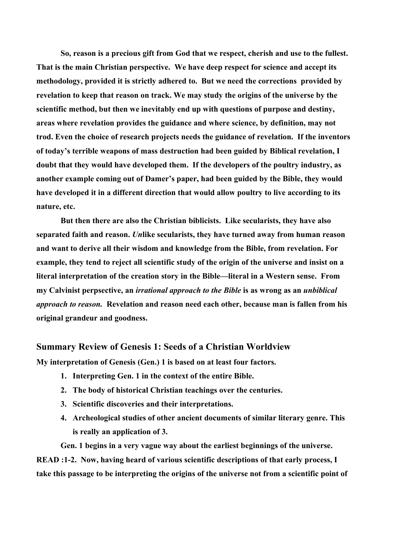**So, reason is a precious gift from God that we respect, cherish and use to the fullest. That is the main Christian perspective. We have deep respect for science and accept its methodology, provided it is strictly adhered to. But we need the corrections provided by revelation to keep that reason on track. We may study the origins of the universe by the scientific method, but then we inevitably end up with questions of purpose and destiny, areas where revelation provides the guidance and where science, by definition, may not trod. Even the choice of research projects needs the guidance of revelation. If the inventors of today's terrible weapons of mass destruction had been guided by Biblical revelation, I doubt that they would have developed them. If the developers of the poultry industry, as another example coming out of Damer's paper, had been guided by the Bible, they would have developed it in a different direction that would allow poultry to live according to its nature, etc.** 

**But then there are also the Christian biblicists. Like secularists, they have also separated faith and reason.** *Un***like secularists, they have turned away from human reason and want to derive all their wisdom and knowledge from the Bible, from revelation. For example, they tend to reject all scientific study of the origin of the universe and insist on a literal interpretation of the creation story in the Bible—literal in a Western sense. From my Calvinist perpsective, an** *irrational approach to the Bible* **is as wrong as an** *unbiblical approach to reason.* **Revelation and reason need each other, because man is fallen from his original grandeur and goodness.** 

### **Summary Review of Genesis 1: Seeds of a Christian Worldview**

**My interpretation of Genesis (Gen.) 1 is based on at least four factors.** 

- **1. Interpreting Gen. 1 in the context of the entire Bible.**
- **2. The body of historical Christian teachings over the centuries.**
- **3. Scientific discoveries and their interpretations.**
- **4. Archeological studies of other ancient documents of similar literary genre. This is really an application of 3.**

**Gen. 1 begins in a very vague way about the earliest beginnings of the universe. READ :1-2. Now, having heard of various scientific descriptions of that early process, I take this passage to be interpreting the origins of the universe not from a scientific point of**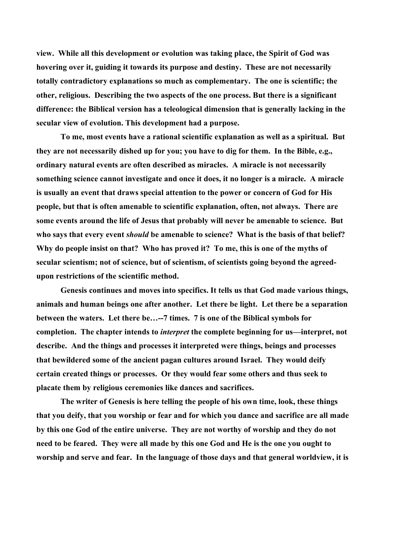**view. While all this development or evolution was taking place, the Spirit of God was hovering over it, guiding it towards its purpose and destiny. These are not necessarily totally contradictory explanations so much as complementary. The one is scientific; the other, religious. Describing the two aspects of the one process. But there is a significant difference: the Biblical version has a teleological dimension that is generally lacking in the secular view of evolution. This development had a purpose.** 

**To me, most events have a rational scientific explanation as well as a spiritual. But they are not necessarily dished up for you; you have to dig for them. In the Bible, e.g., ordinary natural events are often described as miracles. A miracle is not necessarily something science cannot investigate and once it does, it no longer is a miracle. A miracle is usually an event that draws special attention to the power or concern of God for His people, but that is often amenable to scientific explanation, often, not always. There are some events around the life of Jesus that probably will never be amenable to science. But who says that every event** *should* **be amenable to science? What is the basis of that belief? Why do people insist on that? Who has proved it? To me, this is one of the myths of secular scientism; not of science, but of scientism, of scientists going beyond the agreedupon restrictions of the scientific method.** 

**Genesis continues and moves into specifics. It tells us that God made various things, animals and human beings one after another. Let there be light. Let there be a separation between the waters. Let there be…--7 times. 7 is one of the Biblical symbols for completion. The chapter intends to** *interpret* **the complete beginning for us—interpret, not describe. And the things and processes it interpreted were things, beings and processes that bewildered some of the ancient pagan cultures around Israel. They would deify certain created things or processes. Or they would fear some others and thus seek to placate them by religious ceremonies like dances and sacrifices.** 

**The writer of Genesis is here telling the people of his own time, look, these things that you deify, that you worship or fear and for which you dance and sacrifice are all made by this one God of the entire universe. They are not worthy of worship and they do not need to be feared. They were all made by this one God and He is the one you ought to worship and serve and fear. In the language of those days and that general worldview, it is**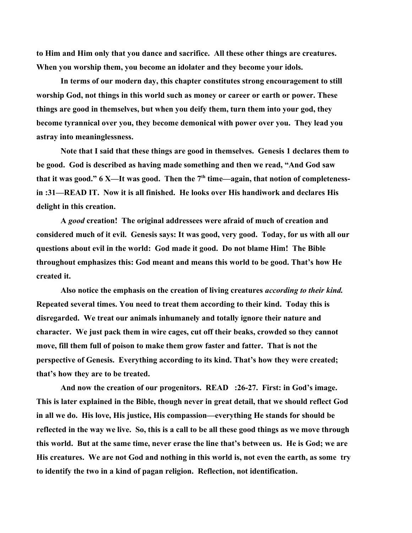**to Him and Him only that you dance and sacrifice. All these other things are creatures. When you worship them, you become an idolater and they become your idols.** 

**In terms of our modern day, this chapter constitutes strong encouragement to still worship God, not things in this world such as money or career or earth or power. These things are good in themselves, but when you deify them, turn them into your god, they become tyrannical over you, they become demonical with power over you. They lead you astray into meaninglessness.**

**Note that I said that these things are good in themselves. Genesis 1 declares them to be good. God is described as having made something and then we read, "And God saw that it was good." 6 X—It was good. Then the 7th time—again, that notion of completenessin :31—READ IT. Now it is all finished. He looks over His handiwork and declares His delight in this creation.** 

**A** *good* **creation! The original addressees were afraid of much of creation and considered much of it evil. Genesis says: It was good, very good. Today, for us with all our questions about evil in the world: God made it good. Do not blame Him! The Bible throughout emphasizes this: God meant and means this world to be good. That's how He created it.** 

**Also notice the emphasis on the creation of living creatures** *according to their kind.* **Repeated several times. You need to treat them according to their kind. Today this is disregarded. We treat our animals inhumanely and totally ignore their nature and character. We just pack them in wire cages, cut off their beaks, crowded so they cannot move, fill them full of poison to make them grow faster and fatter. That is not the perspective of Genesis. Everything according to its kind. That's how they were created; that's how they are to be treated.** 

**And now the creation of our progenitors. READ :26-27. First: in God's image. This is later explained in the Bible, though never in great detail, that we should reflect God in all we do. His love, His justice, His compassion—everything He stands for should be reflected in the way we live. So, this is a call to be all these good things as we move through this world. But at the same time, never erase the line that's between us. He is God; we are His creatures. We are not God and nothing in this world is, not even the earth, as some try to identify the two in a kind of pagan religion. Reflection, not identification.**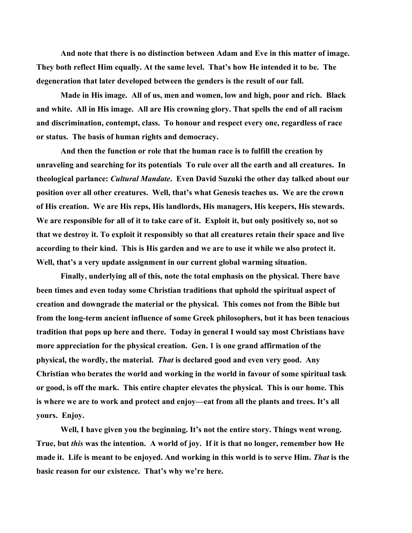**And note that there is no distinction between Adam and Eve in this matter of image. They both reflect Him equally. At the same level. That's how He intended it to be. The degeneration that later developed between the genders is the result of our fall.**

**Made in His image. All of us, men and women, low and high, poor and rich. Black and white. All in His image. All are His crowning glory. That spells the end of all racism and discrimination, contempt, class. To honour and respect every one, regardless of race or status. The basis of human rights and democracy.** 

**And then the function or role that the human race is to fulfill the creation by unraveling and searching for its potentials To rule over all the earth and all creatures. In theological parlance:** *Cultural Mandate***. Even David Suzuki the other day talked about our position over all other creatures. Well, that's what Genesis teaches us. We are the crown of His creation. We are His reps, His landlords, His managers, His keepers, His stewards. We are responsible for all of it to take care of it. Exploit it, but only positively so, not so that we destroy it. To exploit it responsibly so that all creatures retain their space and live according to their kind. This is His garden and we are to use it while we also protect it. Well, that's a very update assignment in our current global warming situation.** 

**Finally, underlying all of this, note the total emphasis on the physical. There have been times and even today some Christian traditions that uphold the spiritual aspect of creation and downgrade the material or the physical. This comes not from the Bible but from the long-term ancient influence of some Greek philosophers, but it has been tenacious tradition that pops up here and there. Today in general I would say most Christians have more appreciation for the physical creation. Gen. 1 is one grand affirmation of the physical, the wordly, the material.** *That* **is declared good and even very good. Any Christian who berates the world and working in the world in favour of some spiritual task or good, is off the mark. This entire chapter elevates the physical. This is our home. This is where we are to work and protect and enjoy—eat from all the plants and trees. It's all yours. Enjoy.**

**Well, I have given you the beginning. It's not the entire story. Things went wrong. True, but** *this* **was the intention. A world of joy. If it is that no longer, remember how He made it. Life is meant to be enjoyed. And working in this world is to serve Him.** *That* **is the basic reason for our existence. That's why we're here.**